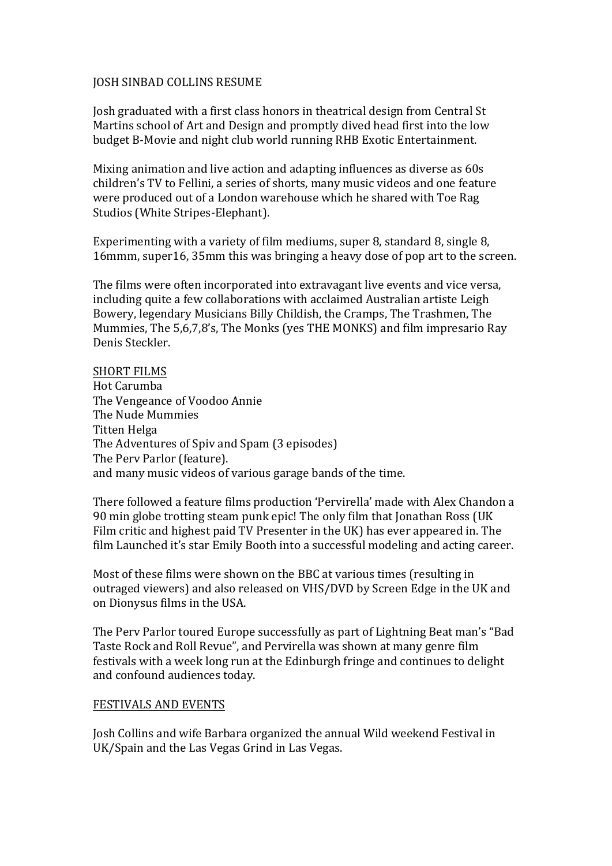#### JOSH SINBAD COLLINS RESUME

Josh graduated with a first class honors in theatrical design from Central St Martins school of Art and Design and promptly dived head first into the low budget B-Movie and night club world running RHB Exotic Entertainment.

Mixing animation and live action and adapting influences as diverse as 60s children's TV to Fellini, a series of shorts, many music videos and one feature were produced out of a London warehouse which he shared with Toe Rag Studios (White Stripes-Elephant).

Experimenting with a variety of film mediums, super 8, standard 8, single 8, 16mmm, super 16, 35mm this was bringing a heavy dose of pop art to the screen.

The films were often incorporated into extravagant live events and vice versa, including quite a few collaborations with acclaimed Australian artiste Leigh Bowery, legendary Musicians Billy Childish, the Cramps, The Trashmen, The Mummies, The 5,6,7,8's, The Monks (yes THE MONKS) and film impresario Ray Denis Steckler.

#### **SHORT FILMS**

Hot Carumba The Vengeance of Voodoo Annie The Nude Mummies Titten Helga The Adventures of Spiv and Spam (3 episodes) The Perv Parlor (feature). and many music videos of various garage bands of the time.

There followed a feature films production 'Pervirella' made with Alex Chandon a 90 min globe trotting steam punk epic! The only film that Jonathan Ross (UK) Film critic and highest paid TV Presenter in the UK) has ever appeared in. The film Launched it's star Emily Booth into a successful modeling and acting career.

Most of these films were shown on the BBC at various times (resulting in outraged viewers) and also released on VHS/DVD by Screen Edge in the UK and on Dionysus films in the USA.

The Perv Parlor toured Europe successfully as part of Lightning Beat man's "Bad Taste Rock and Roll Revue", and Pervirella was shown at many genre film festivals with a week long run at the Edinburgh fringe and continues to delight and confound audiences today.

#### FESTIVALS AND EVENTS

Josh Collins and wife Barbara organized the annual Wild weekend Festival in UK/Spain and the Las Vegas Grind in Las Vegas.